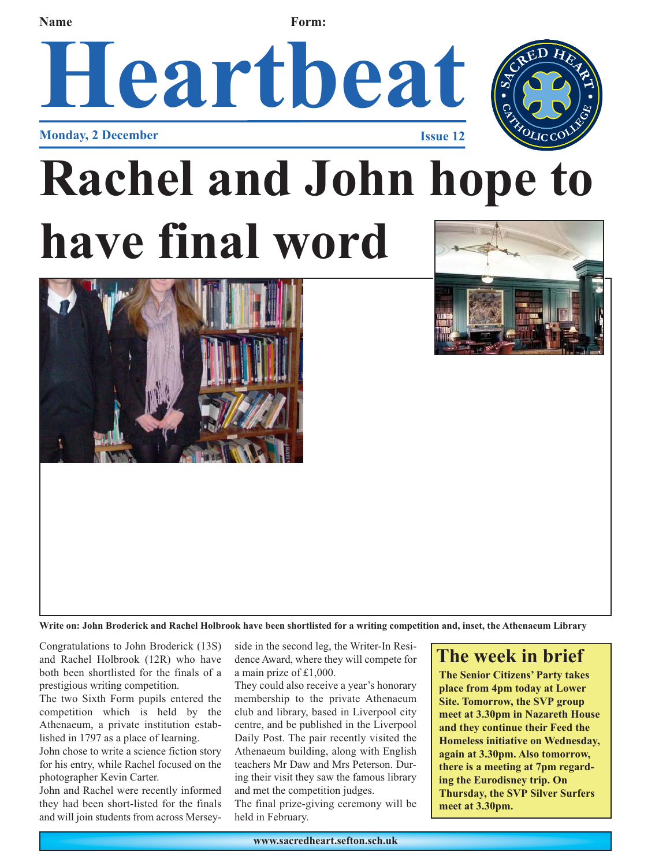**Name Form:** 

### **Heartbeat Monday, 2 December Issue 12**



## **Rachel and John hope to have final word**





**Write on: John Broderick and Rachel Holbrook have been shortlisted for a writing competition and, inset, the Athenaeum Library**

Congratulations to John Broderick (13S) and Rachel Holbrook (12R) who have both been shortlisted for the finals of a prestigious writing competition.

The two Sixth Form pupils entered the competition which is held by the Athenaeum, a private institution established in 1797 as a place of learning.

John chose to write a science fiction story for his entry, while Rachel focused on the photographer Kevin Carter.

John and Rachel were recently informed they had been short-listed for the finals and will join students from across Merseyside in the second leg, the Writer-In Residence Award, where they will compete for a main prize of £1,000.

They could also receive a year's honorary membership to the private Athenaeum club and library, based in Liverpool city centre, and be published in the Liverpool Daily Post. The pair recently visited the Athenaeum building, along with English teachers Mr Daw and Mrs Peterson. During their visit they saw the famous library and met the competition judges.

The final prize-giving ceremony will be held in February.

### **The week in brief**

**The Senior Citizens' Party takes place from 4pm today at Lower Site. Tomorrow, the SVP group meet at 3.30pm in Nazareth House and they continue their Feed the Homeless initiative on Wednesday, again at 3.30pm. Also tomorrow, there is a meeting at 7pm regarding the Eurodisney trip. On Thursday, the SVP Silver Surfers meet at 3.30pm.**